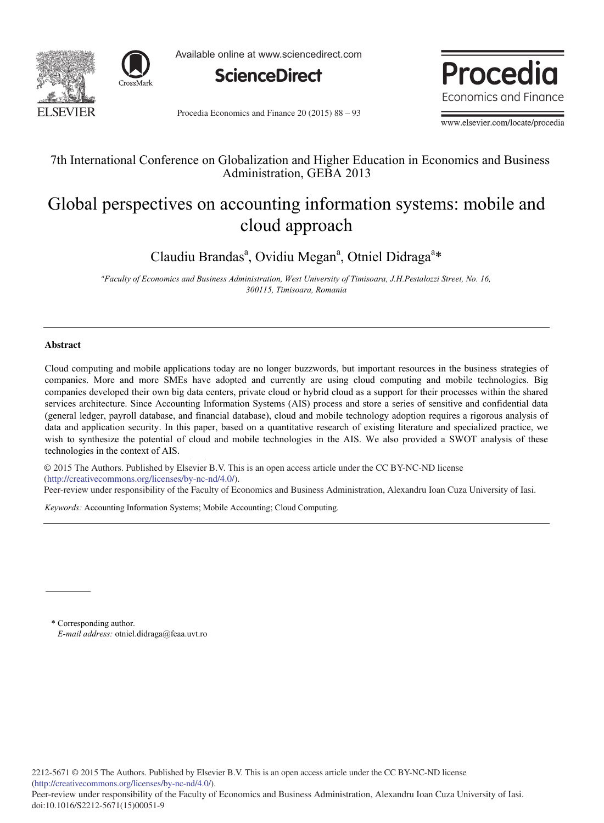



Available online at www.sciencedirect.com



Procedia Economics and Finance 20 (2015) 88 – 93



www.elsevier.com/locate/procedia

# 7th International Conference on Globalization and Higher Education in Economics and Business Administration, GEBA 2013

# Global perspectives on accounting information systems: mobile and cloud approach

Claudiu Brandas<sup>a</sup>, Ovidiu Megan<sup>a</sup>, Otniel Didraga<sup>a\*</sup>

*a Faculty of Economics and Business Administration, West University of Timisoara, J.H.Pestalozzi Street, No. 16, 300115, Timisoara, Romania* 

#### **Abstract**

Cloud computing and mobile applications today are no longer buzzwords, but important resources in the business strategies of companies. More and more SMEs have adopted and currently are using cloud computing and mobile technologies. Big companies developed their own big data centers, private cloud or hybrid cloud as a support for their processes within the shared services architecture. Since Accounting Information Systems (AIS) process and store a series of sensitive and confidential data (general ledger, payroll database, and financial database), cloud and mobile technology adoption requires a rigorous analysis of data and application security. In this paper, based on a quantitative research of existing literature and specialized practice, we wish to synthesize the potential of cloud and mobile technologies in the AIS. We also provided a SWOT analysis of these technologies in the context of AIS.

© 2014 The Authors. Published by Elsevier B.V. © 2015 The Authors. Published by Elsevier B.V. This is an open access article under the CC BY-NC-ND license<br>(http://graptive.commons.org/licenses/by.ne.nd/4.00) University of Iasi. Peer-review under responsibility of the Faculty of Economics and Business Administration, Alexandru Ioan Cuza University of Iasi.(http://creativecommons.org/licenses/by-nc-nd/4.0/).

*Keywords:* Accounting Information Systems; Mobile Accounting; Cloud Computing.

\* Corresponding author. *E-mail address:* otniel.didraga@feaa.uvt.ro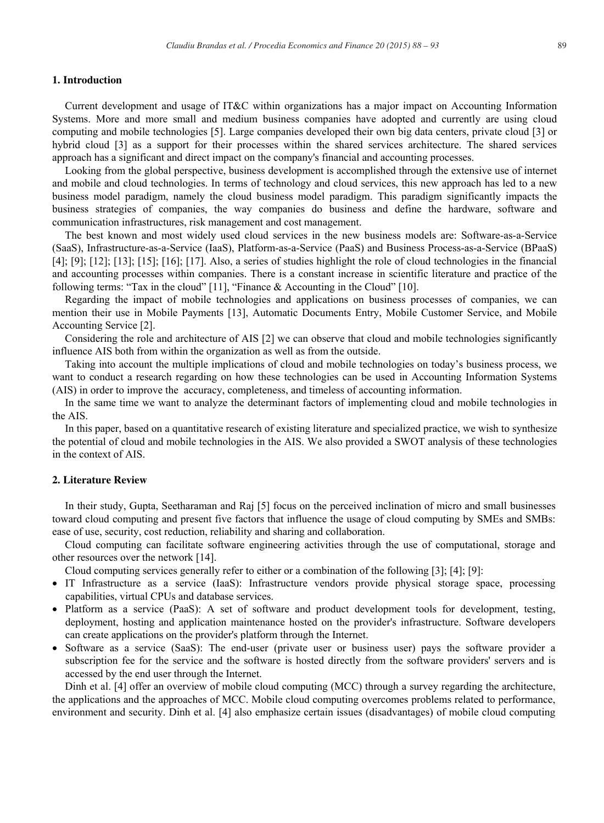### **1. Introduction**

Current development and usage of IT&C within organizations has a major impact on Accounting Information Systems. More and more small and medium business companies have adopted and currently are using cloud computing and mobile technologies [5]. Large companies developed their own big data centers, private cloud [3] or hybrid cloud [3] as a support for their processes within the shared services architecture. The shared services approach has a significant and direct impact on the company's financial and accounting processes.

Looking from the global perspective, business development is accomplished through the extensive use of internet and mobile and cloud technologies. In terms of technology and cloud services, this new approach has led to a new business model paradigm, namely the cloud business model paradigm. This paradigm significantly impacts the business strategies of companies, the way companies do business and define the hardware, software and communication infrastructures, risk management and cost management.

The best known and most widely used cloud services in the new business models are: Software-as-a-Service (SaaS), Infrastructure-as-a-Service (IaaS), Platform-as-a-Service (PaaS) and Business Process-as-a-Service (BPaaS) [4]; [9]; [12]; [13]; [15]; [16]; [17]. Also, a series of studies highlight the role of cloud technologies in the financial and accounting processes within companies. There is a constant increase in scientific literature and practice of the following terms: "Tax in the cloud" [11], "Finance  $\&$  Accounting in the Cloud" [10].

Regarding the impact of mobile technologies and applications on business processes of companies, we can mention their use in Mobile Payments [13], Automatic Documents Entry, Mobile Customer Service, and Mobile Accounting Service [2].

Considering the role and architecture of AIS [2] we can observe that cloud and mobile technologies significantly influence AIS both from within the organization as well as from the outside.

Taking into account the multiple implications of cloud and mobile technologies on today's business process, we want to conduct a research regarding on how these technologies can be used in Accounting Information Systems (AIS) in order to improve the accuracy, completeness, and timeless of accounting information.

In the same time we want to analyze the determinant factors of implementing cloud and mobile technologies in the AIS.

In this paper, based on a quantitative research of existing literature and specialized practice, we wish to synthesize the potential of cloud and mobile technologies in the AIS. We also provided a SWOT analysis of these technologies in the context of AIS.

#### **2. Literature Review**

In their study, Gupta, Seetharaman and Raj [5] focus on the perceived inclination of micro and small businesses toward cloud computing and present five factors that influence the usage of cloud computing by SMEs and SMBs: ease of use, security, cost reduction, reliability and sharing and collaboration.

Cloud computing can facilitate software engineering activities through the use of computational, storage and other resources over the network [14].

Cloud computing services generally refer to either or a combination of the following [3]; [4]; [9]:

- x IT Infrastructure as a service (IaaS): Infrastructure vendors provide physical storage space, processing capabilities, virtual CPUs and database services.
- Platform as a service (PaaS): A set of software and product development tools for development, testing, deployment, hosting and application maintenance hosted on the provider's infrastructure. Software developers can create applications on the provider's platform through the Internet.
- Software as a service (SaaS): The end-user (private user or business user) pays the software provider a subscription fee for the service and the software is hosted directly from the software providers' servers and is accessed by the end user through the Internet.

Dinh et al. [4] offer an overview of mobile cloud computing (MCC) through a survey regarding the architecture, the applications and the approaches of MCC. Mobile cloud computing overcomes problems related to performance, environment and security. Dinh et al. [4] also emphasize certain issues (disadvantages) of mobile cloud computing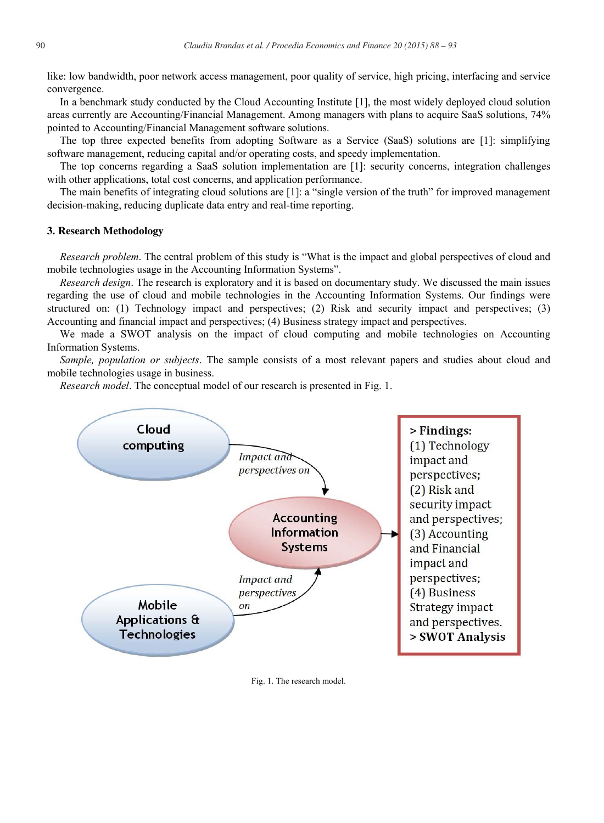like: low bandwidth, poor network access management, poor quality of service, high pricing, interfacing and service convergence.

In a benchmark study conducted by the Cloud Accounting Institute [1], the most widely deployed cloud solution areas currently are Accounting/Financial Management. Among managers with plans to acquire SaaS solutions, 74% pointed to Accounting/Financial Management software solutions.

The top three expected benefits from adopting Software as a Service (SaaS) solutions are [1]: simplifying software management, reducing capital and/or operating costs, and speedy implementation.

The top concerns regarding a SaaS solution implementation are [1]: security concerns, integration challenges with other applications, total cost concerns, and application performance.

The main benefits of integrating cloud solutions are [1]: a "single version of the truth" for improved management decision-making, reducing duplicate data entry and real-time reporting.

### **3. Research Methodology**

*Research problem*. The central problem of this study is "What is the impact and global perspectives of cloud and mobile technologies usage in the Accounting Information Systems".

*Research design*. The research is exploratory and it is based on documentary study. We discussed the main issues regarding the use of cloud and mobile technologies in the Accounting Information Systems. Our findings were structured on: (1) Technology impact and perspectives; (2) Risk and security impact and perspectives; (3) Accounting and financial impact and perspectives; (4) Business strategy impact and perspectives.

We made a SWOT analysis on the impact of cloud computing and mobile technologies on Accounting Information Systems.

*Sample, population or subjects*. The sample consists of a most relevant papers and studies about cloud and mobile technologies usage in business.

*Research model*. The conceptual model of our research is presented in Fig. 1.



Fig. 1. The research model.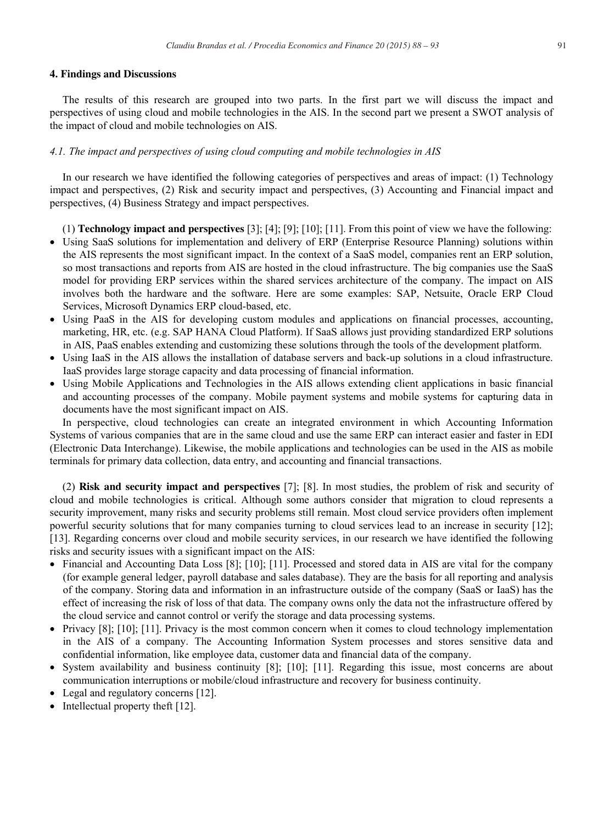#### **4. Findings and Discussions**

The results of this research are grouped into two parts. In the first part we will discuss the impact and perspectives of using cloud and mobile technologies in the AIS. In the second part we present a SWOT analysis of the impact of cloud and mobile technologies on AIS.

### *4.1. The impact and perspectives of using cloud computing and mobile technologies in AIS*

In our research we have identified the following categories of perspectives and areas of impact: (1) Technology impact and perspectives, (2) Risk and security impact and perspectives, (3) Accounting and Financial impact and perspectives, (4) Business Strategy and impact perspectives.

(1) **Technology impact and perspectives** [3]; [4]; [9]; [10]; [11]. From this point of view we have the following:

- Using SaaS solutions for implementation and delivery of ERP (Enterprise Resource Planning) solutions within the AIS represents the most significant impact. In the context of a SaaS model, companies rent an ERP solution, so most transactions and reports from AIS are hosted in the cloud infrastructure. The big companies use the SaaS model for providing ERP services within the shared services architecture of the company. The impact on AIS involves both the hardware and the software. Here are some examples: SAP, Netsuite, Oracle ERP Cloud Services, Microsoft Dynamics ERP cloud-based, etc.
- Using PaaS in the AIS for developing custom modules and applications on financial processes, accounting, marketing, HR, etc. (e.g. SAP HANA Cloud Platform). If SaaS allows just providing standardized ERP solutions in AIS, PaaS enables extending and customizing these solutions through the tools of the development platform.
- Using IaaS in the AIS allows the installation of database servers and back-up solutions in a cloud infrastructure. IaaS provides large storage capacity and data processing of financial information.
- Using Mobile Applications and Technologies in the AIS allows extending client applications in basic financial and accounting processes of the company. Mobile payment systems and mobile systems for capturing data in documents have the most significant impact on AIS.

In perspective, cloud technologies can create an integrated environment in which Accounting Information Systems of various companies that are in the same cloud and use the same ERP can interact easier and faster in EDI (Electronic Data Interchange). Likewise, the mobile applications and technologies can be used in the AIS as mobile terminals for primary data collection, data entry, and accounting and financial transactions.

(2) **Risk and security impact and perspectives** [7]; [8]. In most studies, the problem of risk and security of cloud and mobile technologies is critical. Although some authors consider that migration to cloud represents a security improvement, many risks and security problems still remain. Most cloud service providers often implement powerful security solutions that for many companies turning to cloud services lead to an increase in security [12]; [13]. Regarding concerns over cloud and mobile security services, in our research we have identified the following risks and security issues with a significant impact on the AIS:

- Financial and Accounting Data Loss [8]; [10]; [11]. Processed and stored data in AIS are vital for the company (for example general ledger, payroll database and sales database). They are the basis for all reporting and analysis of the company. Storing data and information in an infrastructure outside of the company (SaaS or IaaS) has the effect of increasing the risk of loss of that data. The company owns only the data not the infrastructure offered by the cloud service and cannot control or verify the storage and data processing systems.
- Privacy [8]; [10]; [11]. Privacy is the most common concern when it comes to cloud technology implementation in the AIS of a company. The Accounting Information System processes and stores sensitive data and confidential information, like employee data, customer data and financial data of the company.
- System availability and business continuity [8]; [10]; [11]. Regarding this issue, most concerns are about communication interruptions or mobile/cloud infrastructure and recovery for business continuity.
- $\bullet$  Legal and regulatory concerns [12].
- $\bullet$  Intellectual property theft [12].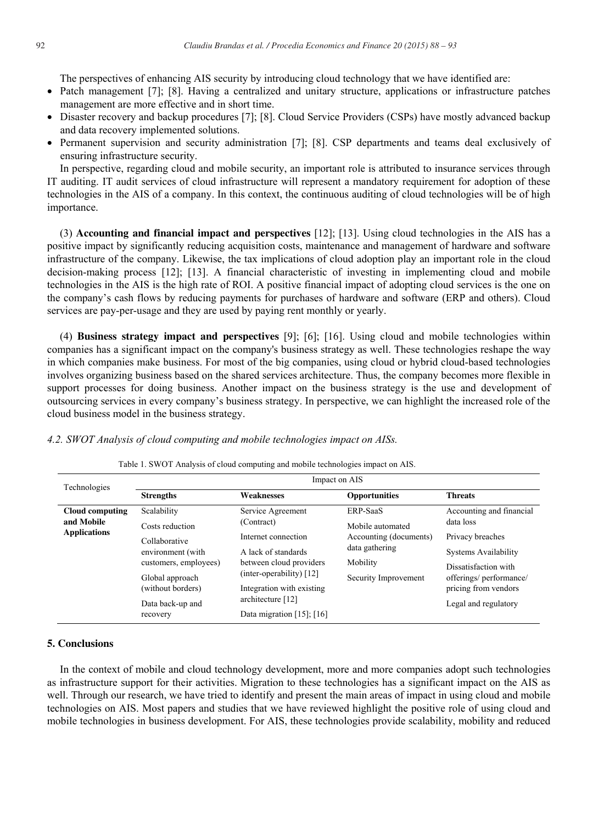The perspectives of enhancing AIS security by introducing cloud technology that we have identified are:

- Patch management [7]; [8]. Having a centralized and unitary structure, applications or infrastructure patches management are more effective and in short time.
- Disaster recovery and backup procedures [7]; [8]. Cloud Service Providers (CSPs) have mostly advanced backup and data recovery implemented solutions.
- Permanent supervision and security administration [7]; [8]. CSP departments and teams deal exclusively of ensuring infrastructure security.

In perspective, regarding cloud and mobile security, an important role is attributed to insurance services through IT auditing. IT audit services of cloud infrastructure will represent a mandatory requirement for adoption of these technologies in the AIS of a company. In this context, the continuous auditing of cloud technologies will be of high importance.

(3) **Accounting and financial impact and perspectives** [12]; [13]. Using cloud technologies in the AIS has a positive impact by significantly reducing acquisition costs, maintenance and management of hardware and software infrastructure of the company. Likewise, the tax implications of cloud adoption play an important role in the cloud decision-making process [12]; [13]. A financial characteristic of investing in implementing cloud and mobile technologies in the AIS is the high rate of ROI. A positive financial impact of adopting cloud services is the one on the company's cash flows by reducing payments for purchases of hardware and software (ERP and others). Cloud services are pay-per-usage and they are used by paying rent monthly or yearly.

(4) **Business strategy impact and perspectives** [9]; [6]; [16]. Using cloud and mobile technologies within companies has a significant impact on the company's business strategy as well. These technologies reshape the way in which companies make business. For most of the big companies, using cloud or hybrid cloud-based technologies involves organizing business based on the shared services architecture. Thus, the company becomes more flexible in support processes for doing business. Another impact on the business strategy is the use and development of outsourcing services in every company's business strategy. In perspective, we can highlight the increased role of the cloud business model in the business strategy.

*4.2. SWOT Analysis of cloud computing and mobile technologies impact on AISs.* 

| Technologies                                                | Impact on AIS                                                                                                                                                         |                                                                                                                                                                                                                          |                                                                                                              |                                                                                                                                                                                             |
|-------------------------------------------------------------|-----------------------------------------------------------------------------------------------------------------------------------------------------------------------|--------------------------------------------------------------------------------------------------------------------------------------------------------------------------------------------------------------------------|--------------------------------------------------------------------------------------------------------------|---------------------------------------------------------------------------------------------------------------------------------------------------------------------------------------------|
|                                                             | <b>Strengths</b>                                                                                                                                                      | Weaknesses                                                                                                                                                                                                               | <b>Opportunities</b>                                                                                         | <b>Threats</b>                                                                                                                                                                              |
| <b>Cloud computing</b><br>and Mobile<br><b>Applications</b> | Scalability<br>Costs reduction<br>Collaborative<br>environment (with<br>customers, employees)<br>Global approach<br>(without borders)<br>Data back-up and<br>recovery | Service Agreement<br>(Contract)<br>Internet connection<br>A lack of standards<br>between cloud providers<br>(inter-operability) [12]<br>Integration with existing<br>architecture [12]<br>Data migration $[15]$ ; $[16]$ | ERP-SaaS<br>Mobile automated<br>Accounting (documents)<br>data gathering<br>Mobility<br>Security Improvement | Accounting and financial<br>data loss<br>Privacy breaches<br><b>Systems Availability</b><br>Dissatisfaction with<br>offerings/ performance/<br>pricing from vendors<br>Legal and regulatory |

Table 1. SWOT Analysis of cloud computing and mobile technologies impact on AIS.

## **5. Conclusions**

In the context of mobile and cloud technology development, more and more companies adopt such technologies as infrastructure support for their activities. Migration to these technologies has a significant impact on the AIS as well. Through our research, we have tried to identify and present the main areas of impact in using cloud and mobile technologies on AIS. Most papers and studies that we have reviewed highlight the positive role of using cloud and mobile technologies in business development. For AIS, these technologies provide scalability, mobility and reduced